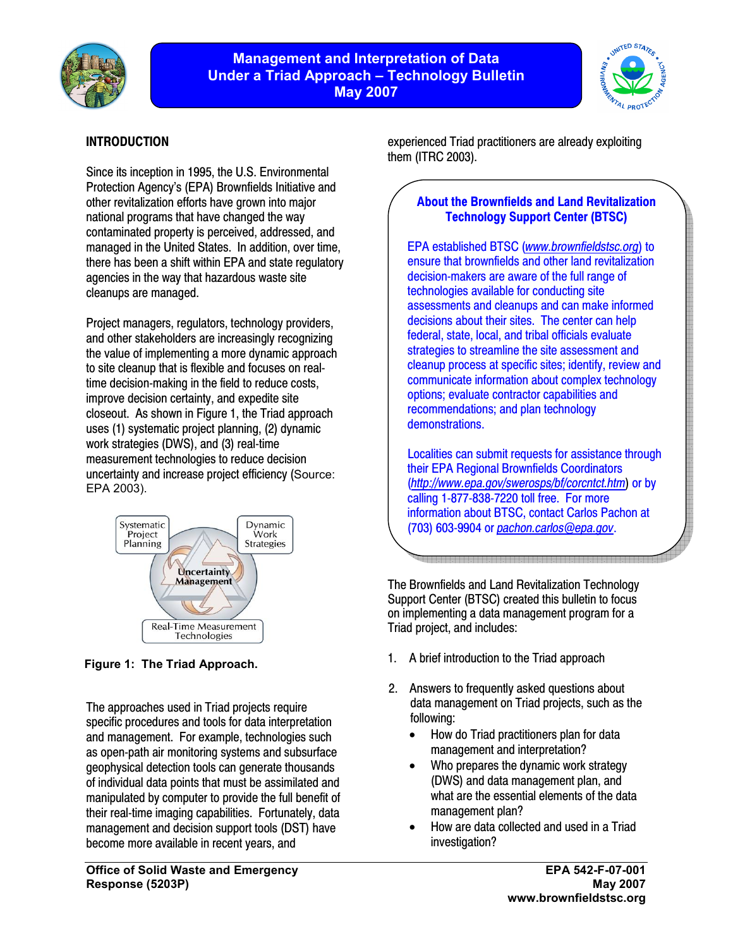

# **Management and Interpretation of Data Under a Triad Approach – Technology Bulletin May 2007**



# **INTRODUCTION**

Since its inception in 1995, the U.S. Environmental Protection Agency's (EPA) Brownfields Initiative and other revitalization efforts have grown into major national programs that have changed the way contaminated property is perceived, addressed, and managed in the United States. In addition, over time, there has been a shift within EPA and state regulatory agencies in the way that hazardous waste site cleanups are managed.

Project managers, regulators, technology providers, and other stakeholders are increasingly recognizing the value of implementing a more dynamic approach to site cleanup that is flexible and focuses on realtime decision-making in the field to reduce costs, improve decision certainty, and expedite site closeout. As shown in Figure 1, the Triad approach uses (1) systematic project planning, (2) dynamic work strategies (DWS), and (3) real-time measurement technologies to reduce decision uncertainty and increase project efficiency (Source: EPA 2003).



**Figure 1: The Triad Approach.**

The approaches used in Triad projects require specific procedures and tools for data interpretation and management. For example, technologies such as open-path air monitoring systems and subsurface geophysical detection tools can generate thousands of individual data points that must be assimilated and manipulated by computer to provide the full benefit of their real-time imaging capabilities. Fortunately, data management and decision support tools (DST) have become more available in recent years, and

experienced Triad practitioners are already exploiting them (ITRC 2003).

# **About the Brownfields and Land Revitalization Technology Support Center (BTSC)**

EPA established BTSC (*[www.brownfieldstsc.org](http://www.brownfieldstsc.org)*) to ensure that brownfields and other land revitalization decision-makers are aware of the full range of technologies available for conducting site assessments and cleanups and can make informed decisions about their sites. The center can help federal, state, local, and tribal officials evaluate strategies to streamline the site assessment and cleanup process at specific sites; identify, review and communicate information about complex technology options; evaluate contractor capabilities and recommendations; and plan technology demonstrations.

Localities can submit requests for assistance through their EPA Regional Brownfields Coordinators (*<http://www.epa.gov/swerosps/bf/corcntct.htm>*) or by calling 1-877-838-7220 toll free. For more information about BTSC, contact Carlos Pachon at (703) 603-9904 or *[pachon.carlos@epa.gov](mailto:pachon.carlos@epa.gov)*.

The Brownfields and Land Revitalization Technology Support Center (BTSC) created this bulletin to focus on implementing a data management program for a Triad project, and includes:

- 1. A brief introduction to the Triad approach
- 2. Answers to frequently asked questions about data management on Triad projects, such as the following:
	- How do Triad practitioners plan for data management and interpretation?
	- Who prepares the dynamic work strategy (DWS) and data management plan, and what are the essential elements of the data management plan?
	- How are data collected and used in a Triad investigation?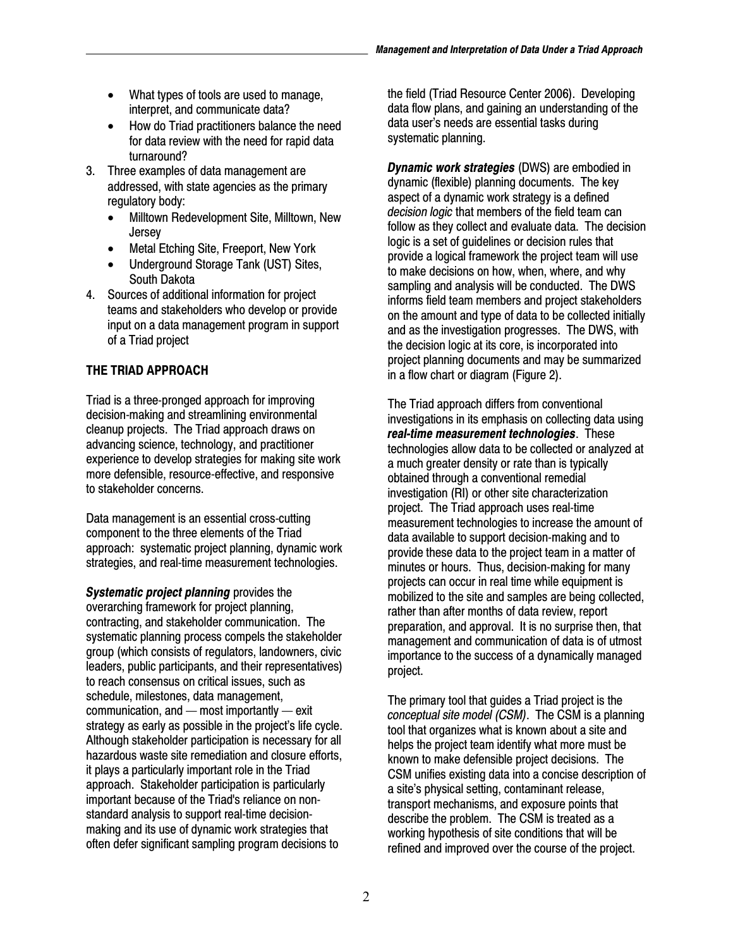- What types of tools are used to manage, interpret, and communicate data?
- • How do Triad practitioners balance the need for data review with the need for rapid data turnaround?
- 3. Three examples of data management are addressed, with state agencies as the primary regulatory body:
	- • Milltown Redevelopment Site, Milltown, New **Jersey**
	- Metal Etching Site, Freeport, New York
	- Underground Storage Tank (UST) Sites, South Dakota
- 4. Sources of additional information for project teams and stakeholders who develop or provide input on a data management program in support of a Triad project

# **THE TRIAD APPROACH**

Triad is a three-pronged approach for improving decision-making and streamlining environmental cleanup projects. The Triad approach draws on advancing science, technology, and practitioner experience to develop strategies for making site work more defensible, resource-effective, and responsive to stakeholder concerns.

Data management is an essential cross-cutting component to the three elements of the Triad approach: systematic project planning, dynamic work strategies, and real-time measurement technologies.

*Systematic project planning* provides the overarching framework for project planning, contracting, and stakeholder communication. The systematic planning process compels the stakeholder group (which consists of regulators, landowners, civic leaders, public participants, and their representatives) to reach consensus on critical issues, such as schedule, milestones, data management, communication, and — most importantly — exit strategy as early as possible in the project's life cycle. Although stakeholder participation is necessary for all hazardous waste site remediation and closure efforts, it plays a particularly important role in the Triad approach. Stakeholder participation is particularly important because of the Triad's reliance on nonstandard analysis to support real-time decisionmaking and its use of dynamic work strategies that often defer significant sampling program decisions to

the field (Triad Resource Center 2006). Developing data flow plans, and gaining an understanding of the data user's needs are essential tasks during systematic planning.

*Dynamic work strategies* (DWS) are embodied in dynamic (flexible) planning documents. The key aspect of a dynamic work strategy is a defined *decision logic* that members of the field team can follow as they collect and evaluate data. The decision logic is a set of guidelines or decision rules that provide a logical framework the project team will use to make decisions on how, when, where, and why sampling and analysis will be conducted. The DWS informs field team members and project stakeholders on the amount and type of data to be collected initially and as the investigation progresses. The DWS, with the decision logic at its core, is incorporated into project planning documents and may be summarized in a flow chart or diagram (Figure 2).

The Triad approach differs from conventional investigations in its emphasis on collecting data using *real-time measurement technologies*. These technologies allow data to be collected or analyzed at a much greater density or rate than is typically obtained through a conventional remedial investigation (RI) or other site characterization project. The Triad approach uses real-time measurement technologies to increase the amount of data available to support decision-making and to provide these data to the project team in a matter of minutes or hours. Thus, decision-making for many projects can occur in real time while equipment is mobilized to the site and samples are being collected, rather than after months of data review, report preparation, and approval. It is no surprise then, that management and communication of data is of utmost importance to the success of a dynamically managed project.

The primary tool that guides a Triad project is the *conceptual site model (CSM)*. The CSM is a planning tool that organizes what is known about a site and helps the project team identify what more must be known to make defensible project decisions. The CSM unifies existing data into a concise description of a site's physical setting, contaminant release, transport mechanisms, and exposure points that describe the problem. The CSM is treated as a working hypothesis of site conditions that will be refined and improved over the course of the project.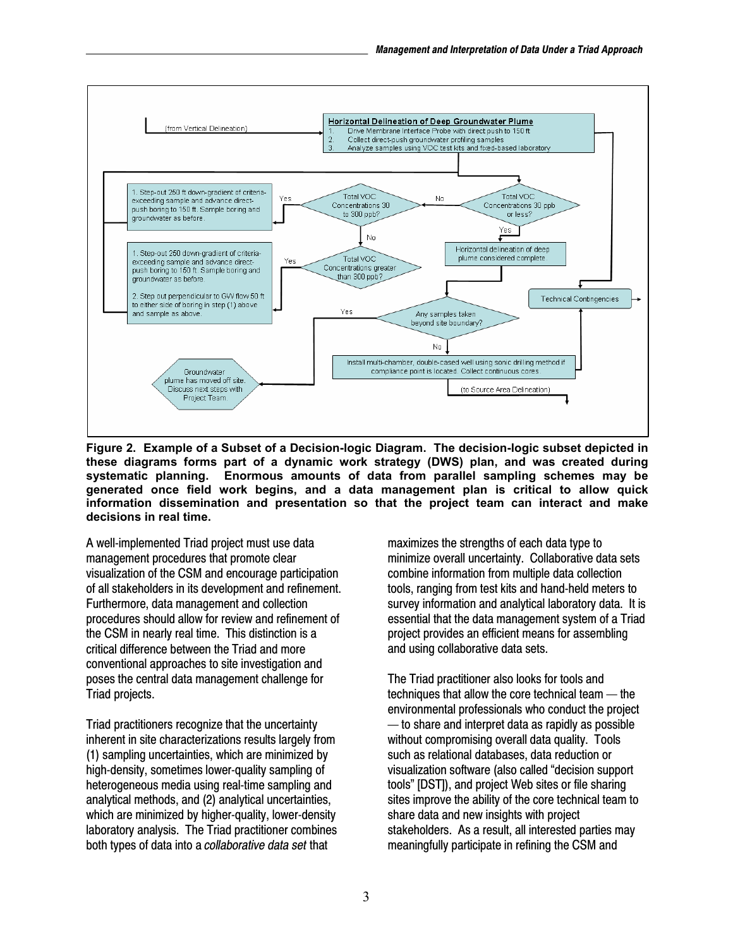

**Figure 2. Example of a Subset of a Decision-logic Diagram. The decision-logic subset depicted in these diagrams forms part of a dynamic work strategy (DWS) plan, and was created during systematic planning. Enormous amounts of data from parallel sampling schemes may be generated once field work begins, and a data management plan is critical to allow quick information dissemination and presentation so that the project team can interact and make decisions in real time.** 

A well-implemented Triad project must use data management procedures that promote clear visualization of the CSM and encourage participation of all stakeholders in its development and refinement. Furthermore, data management and collection procedures should allow for review and refinement of the CSM in nearly real time. This distinction is a critical difference between the Triad and more conventional approaches to site investigation and poses the central data management challenge for Triad projects.

Triad practitioners recognize that the uncertainty inherent in site characterizations results largely from (1) sampling uncertainties, which are minimized by high-density, sometimes lower-quality sampling of heterogeneous media using real-time sampling and analytical methods, and (2) analytical uncertainties, which are minimized by higher-quality, lower-density laboratory analysis. The Triad practitioner combines both types of data into a *collaborative data set* that

 minimize overall uncertainty. Collaborative data sets maximizes the strengths of each data type to combine information from multiple data collection tools, ranging from test kits and hand-held meters to survey information and analytical laboratory data. It is essential that the data management system of a Triad project provides an efficient means for assembling and using collaborative data sets.

The Triad practitioner also looks for tools and techniques that allow the core technical team — the environmental professionals who conduct the project — to share and interpret data as rapidly as possible without compromising overall data quality. Tools such as relational databases, data reduction or visualization software (also called "decision support tools" [DST]), and project Web sites or file sharing sites improve the ability of the core technical team to share data and new insights with project stakeholders. As a result, all interested parties may meaningfully participate in refining the CSM and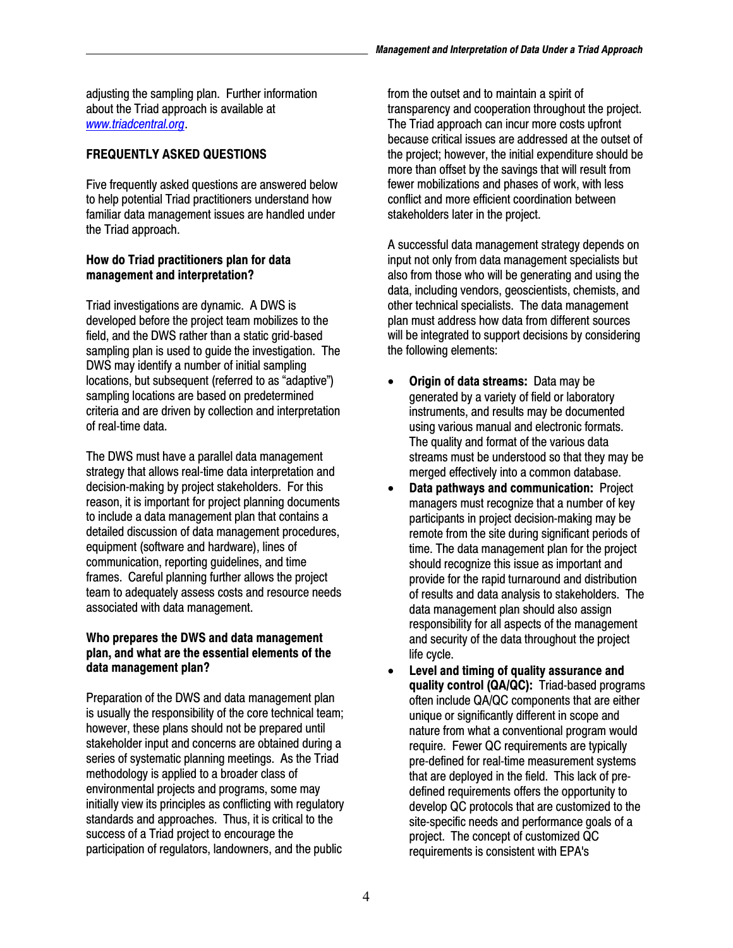adjusting the sampling plan. Further information about the Triad approach is available at *[www.triadcentral.org](http://www.triadcentral.org)*.

## **FREQUENTLY ASKED QUESTIONS**

Five frequently asked questions are answered below to help potential Triad practitioners understand how familiar data management issues are handled under the Triad approach.

### **How do Triad practitioners plan for data management and interpretation?**

Triad investigations are dynamic. A DWS is developed before the project team mobilizes to the field, and the DWS rather than a static grid-based sampling plan is used to guide the investigation. The DWS may identify a number of initial sampling locations, but subsequent (referred to as "adaptive") sampling locations are based on predetermined criteria and are driven by collection and interpretation of real-time data.

 frames. Careful planning further allows the project The DWS must have a parallel data management strategy that allows real-time data interpretation and decision-making by project stakeholders. For this reason, it is important for project planning documents to include a data management plan that contains a detailed discussion of data management procedures, equipment (software and hardware), lines of communication, reporting guidelines, and time team to adequately assess costs and resource needs associated with data management.

#### **Who prepares the DWS and data management plan, and what are the essential elements of the data management plan?**

Preparation of the DWS and data management plan is usually the responsibility of the core technical team; however, these plans should not be prepared until stakeholder input and concerns are obtained during a series of systematic planning meetings. As the Triad methodology is applied to a broader class of environmental projects and programs, some may initially view its principles as conflicting with regulatory standards and approaches. Thus, it is critical to the success of a Triad project to encourage the participation of regulators, landowners, and the public

from the outset and to maintain a spirit of transparency and cooperation throughout the project. The Triad approach can incur more costs upfront because critical issues are addressed at the outset of the project; however, the initial expenditure should be more than offset by the savings that will result from fewer mobilizations and phases of work, with less conflict and more efficient coordination between stakeholders later in the project.

A successful data management strategy depends on input not only from data management specialists but also from those who will be generating and using the data, including vendors, geoscientists, chemists, and other technical specialists. The data management plan must address how data from different sources will be integrated to support decisions by considering the following elements:

- **Origin of data streams:** Data may be generated by a variety of field or laboratory instruments, and results may be documented using various manual and electronic formats. The quality and format of the various data streams must be understood so that they may be merged effectively into a common database.
- of results and data analysis to stakeholders. The • **Data pathways and communication:** Project managers must recognize that a number of key participants in project decision-making may be remote from the site during significant periods of time. The data management plan for the project should recognize this issue as important and provide for the rapid turnaround and distribution data management plan should also assign responsibility for all aspects of the management and security of the data throughout the project life cycle.
- that are deployed in the field. This lack of pre-Level and timing of quality assurance and **quality control (QA/QC):** Triad-based programs often include QA/QC components that are either unique or significantly different in scope and nature from what a conventional program would require. Fewer QC requirements are typically pre-defined for real-time measurement systems defined requirements offers the opportunity to develop QC protocols that are customized to the site-specific needs and performance goals of a project. The concept of customized QC requirements is consistent with EPA's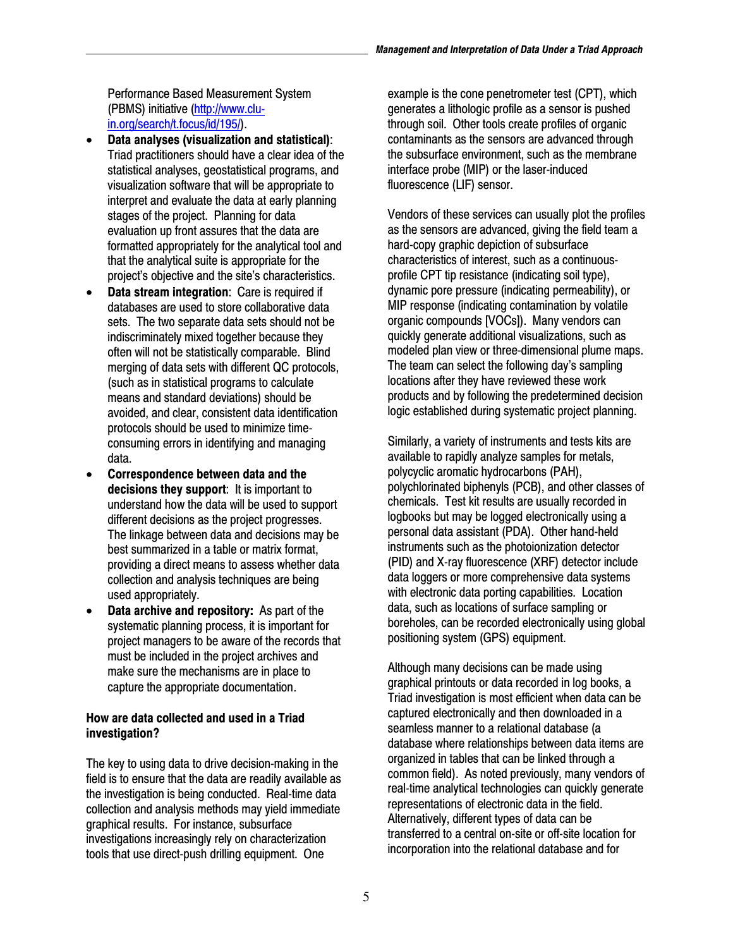Performance Based Measurement System [\(PBMS\) initiative \(http://www.c](http://www.clu�in.org/search/t.focus/id/195/)luin.[org/search/t.focus/id/195](http://www.clu�in.org/search/t.focus/id/195/)/).

- **Data analyses (visualization and statistical):** Triad practitioners should have a clear idea of the statistical analyses, geostatistical programs, and visualization software that will be appropriate to interpret and evaluate the data at early planning stages of the project. Planning for data evaluation up front assures that the data are formatted appropriately for the analytical tool and that the analytical suite is appropriate for the project's objective and the site's characteristics.
- **Data stream integration: Care is required if** databases are used to store collaborative data sets. The two separate data sets should not be indiscriminately mixed together because they often will not be statistically comparable. Blind merging of data sets with different QC protocols, (such as in statistical programs to calculate means and standard deviations) should be avoided, and clear, consistent data identification protocols should be used to minimize timeconsuming errors in identifying and managing data.
- **Correspondence between data and the decisions they support**: It is important to understand how the data will be used to support different decisions as the project progresses. The linkage between data and decisions may be best summarized in a table or matrix format, providing a direct means to assess whether data collection and analysis techniques are being used appropriately.
- **Data archive and repository:** As part of the systematic planning process, it is important for project managers to be aware of the records that must be included in the project archives and make sure the mechanisms are in place to capture the appropriate documentation.

### **How are data collected and used in a Triad investigation?**

The key to using data to drive decision-making in the field is to ensure that the data are readily available as the investigation is being conducted. Real-time data collection and analysis methods may yield immediate graphical results. For instance, subsurface investigations increasingly rely on characterization tools that use direct-push drilling equipment. One

example is the cone penetrometer test (CPT), which generates a lithologic profile as a sensor is pushed through soil. Other tools create profiles of organic contaminants as the sensors are advanced through the subsurface environment, such as the membrane interface probe (MIP) or the laser-induced fluorescence (LIF) sensor.

Vendors of these services can usually plot the profiles as the sensors are advanced, giving the field team a hard-copy graphic depiction of subsurface characteristics of interest, such as a continuousprofile CPT tip resistance (indicating soil type), dynamic pore pressure (indicating permeability), or MIP response (indicating contamination by volatile organic compounds [VOCs]). Many vendors can quickly generate additional visualizations, such as modeled plan view or three-dimensional plume maps. The team can select the following day's sampling locations after they have reviewed these work products and by following the predetermined decision logic established during systematic project planning.

Similarly, a variety of instruments and tests kits are available to rapidly analyze samples for metals, polycyclic aromatic hydrocarbons (PAH), polychlorinated biphenyls (PCB), and other classes of chemicals. Test kit results are usually recorded in logbooks but may be logged electronically using a personal data assistant (PDA). Other hand-held instruments such as the photoionization detector (PID) and X-ray fluorescence (XRF) detector include data loggers or more comprehensive data systems with electronic data porting capabilities. Location data, such as locations of surface sampling or boreholes, can be recorded electronically using global positioning system (GPS) equipment.

Although many decisions can be made using graphical printouts or data recorded in log books, a Triad investigation is most efficient when data can be captured electronically and then downloaded in a seamless manner to a relational database (a database where relationships between data items are organized in tables that can be linked through a common field). As noted previously, many vendors of real-time analytical technologies can quickly generate representations of electronic data in the field. Alternatively, different types of data can be transferred to a central on-site or off-site location for incorporation into the relational database and for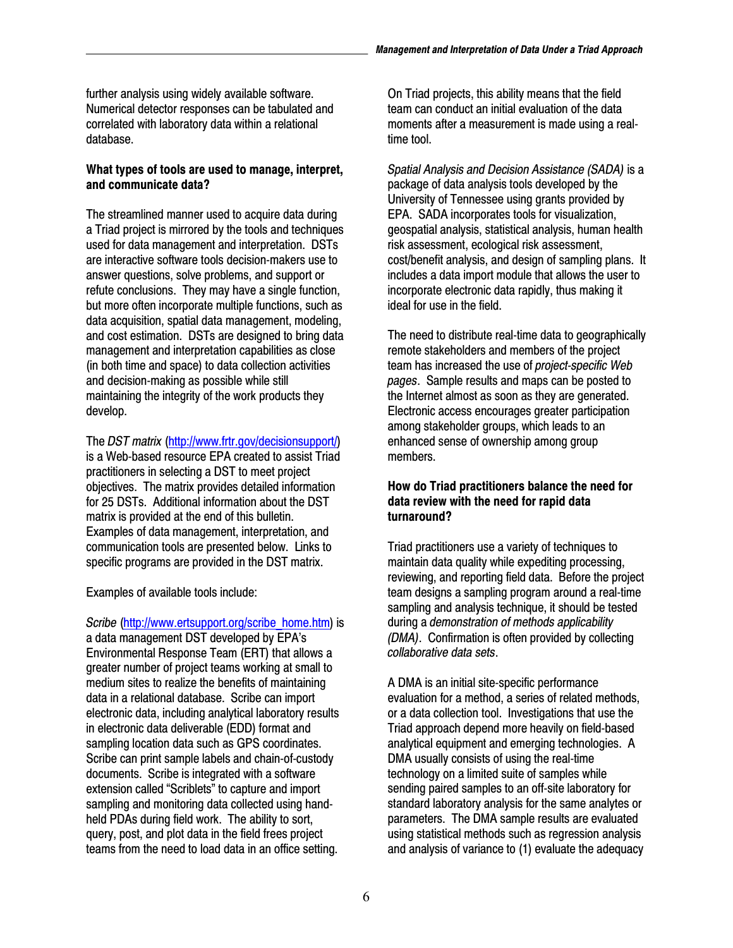further analysis using widely available software. Numerical detector responses can be tabulated and correlated with laboratory data within a relational database.

## **What types of tools are used to manage, interpret, and communicate data?**

The streamlined manner used to acquire data during a Triad project is mirrored by the tools and techniques used for data management and interpretation. DSTs are interactive software tools decision-makers use to answer questions, solve problems, and support or refute conclusions. They may have a single function, but more often incorporate multiple functions, such as data acquisition, spatial data management, modeling, and cost estimation. DSTs are designed to bring data management and interpretation capabilities as close (in both time and space) to data collection activities and decision-making as possible while still maintaining the integrity of the work products they develop.

The *DST matrix* ([http://www.frtr.gov/decisionsupport/\)](http://www.frtr.gov/decisionsupport/)  is a Web-based resource EPA created to assist Triad practitioners in selecting a DST to meet project objectives. The matrix provides detailed information for 25 DSTs. Additional information about the DST matrix is provided at the end of this bulletin. Examples of data management, interpretation, and communication tools are presented below. Links to specific programs are provided in the DST matrix.

Examples of available tools include:

 data in a relational database. Scribe can import *Scribe* [\(http://www.ertsupport.org/scribe\\_home.htm\)](http://www.ertsupport.org/scribe_home.htm) is a data management DST developed by EPA's Environmental Response Team (ERT) that allows a greater number of project teams working at small to medium sites to realize the benefits of maintaining electronic data, including analytical laboratory results in electronic data deliverable (EDD) format and sampling location data such as GPS coordinates. Scribe can print sample labels and chain-of-custody documents. Scribe is integrated with a software extension called "Scriblets" to capture and import sampling and monitoring data collected using handheld PDAs during field work. The ability to sort, query, post, and plot data in the field frees project teams from the need to load data in an office setting.

On Triad projects, this ability means that the field team can conduct an initial evaluation of the data moments after a measurement is made using a realtime tool.

*Spatial Analysis and Decision Assistance (SADA)* is a package of data analysis tools developed by the University of Tennessee using grants provided by EPA. SADA incorporates tools for visualization, geospatial analysis, statistical analysis, human health risk assessment, ecological risk assessment, cost/benefit analysis, and design of sampling plans. It includes a data import module that allows the user to incorporate electronic data rapidly, thus making it ideal for use in the field.

The need to distribute real-time data to geographically remote stakeholders and members of the project team has increased the use of *project-specific Web pages*. Sample results and maps can be posted to the Internet almost as soon as they are generated. Electronic access encourages greater participation among stakeholder groups, which leads to an enhanced sense of ownership among group members.

#### **How do Triad practitioners balance the need for data review with the need for rapid data turnaround?**

Triad practitioners use a variety of techniques to maintain data quality while expediting processing, reviewing, and reporting field data. Before the project team designs a sampling program around a real-time sampling and analysis technique, it should be tested during a *demonstration of methods applicability (DMA)*. Confirmation is often provided by collecting *collaborative data sets*.

A DMA is an initial site-specific performance evaluation for a method, a series of related methods, or a data collection tool. Investigations that use the Triad approach depend more heavily on field-based analytical equipment and emerging technologies. A DMA usually consists of using the real-time technology on a limited suite of samples while sending paired samples to an off-site laboratory for standard laboratory analysis for the same analytes or parameters. The DMA sample results are evaluated using statistical methods such as regression analysis and analysis of variance to (1) evaluate the adequacy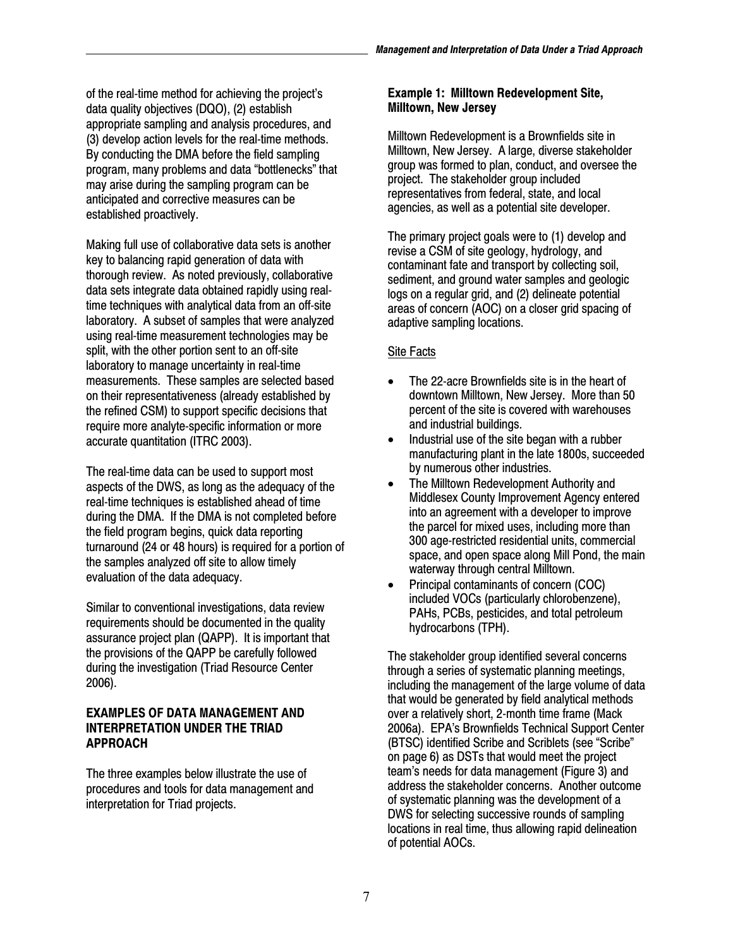of the real-time method for achieving the project's data quality objectives (DQO), (2) establish appropriate sampling and analysis procedures, and (3) develop action levels for the real-time methods. By conducting the DMA before the field sampling program, many problems and data "bottlenecks" that may arise during the sampling program can be anticipated and corrective measures can be established proactively.

Making full use of collaborative data sets is another key to balancing rapid generation of data with thorough review. As noted previously, collaborative data sets integrate data obtained rapidly using realtime techniques with analytical data from an off-site laboratory. A subset of samples that were analyzed using real-time measurement technologies may be split, with the other portion sent to an off-site laboratory to manage uncertainty in real-time measurements. These samples are selected based on their representativeness (already established by the refined CSM) to support specific decisions that require more analyte-specific information or more accurate quantitation (ITRC 2003).

The real-time data can be used to support most aspects of the DWS, as long as the adequacy of the real-time techniques is established ahead of time during the DMA. If the DMA is not completed before the field program begins, quick data reporting turnaround (24 or 48 hours) is required for a portion of the samples analyzed off site to allow timely evaluation of the data adequacy.

Similar to conventional investigations, data review requirements should be documented in the quality assurance project plan (QAPP). It is important that the provisions of the QAPP be carefully followed during the investigation (Triad Resource Center 2006).

#### **EXAMPLES OF DATA MANAGEMENT AND INTERPRETATION UNDER THE TRIAD APPROACH**

The three examples below illustrate the use of procedures and tools for data management and interpretation for Triad projects.

#### **Example 1: Milltown Redevelopment Site, Milltown, New Jersey**

Milltown Redevelopment is a Brownfields site in Milltown, New Jersey. A large, diverse stakeholder group was formed to plan, conduct, and oversee the project. The stakeholder group included representatives from federal, state, and local agencies, as well as a potential site developer.

The primary project goals were to (1) develop and revise a CSM of site geology, hydrology, and contaminant fate and transport by collecting soil, sediment, and ground water samples and geologic logs on a regular grid, and (2) delineate potential areas of concern (AOC) on a closer grid spacing of adaptive sampling locations.

## Site Facts

- The 22-acre Brownfields site is in the heart of downtown Milltown, New Jersey. More than 50 percent of the site is covered with warehouses and industrial buildings.
- Industrial use of the site began with a rubber manufacturing plant in the late 1800s, succeeded by numerous other industries.
- The Milltown Redevelopment Authority and Middlesex County Improvement Agency entered into an agreement with a developer to improve the parcel for mixed uses, including more than 300 age-restricted residential units, commercial space, and open space along Mill Pond, the main waterway through central Milltown.
- • Principal contaminants of concern (COC) included VOCs (particularly chlorobenzene), PAHs, PCBs, pesticides, and total petroleum hydrocarbons (TPH).

The stakeholder group identified several concerns through a series of systematic planning meetings, including the management of the large volume of data that would be generated by field analytical methods over a relatively short, 2-month time frame (Mack 2006a). EPA's Brownfields Technical Support Center (BTSC) identified Scribe and Scriblets (see "Scribe" on page 6) as DSTs that would meet the project team's needs for data management (Figure 3) and address the stakeholder concerns. Another outcome of systematic planning was the development of a DWS for selecting successive rounds of sampling locations in real time, thus allowing rapid delineation of potential AOCs.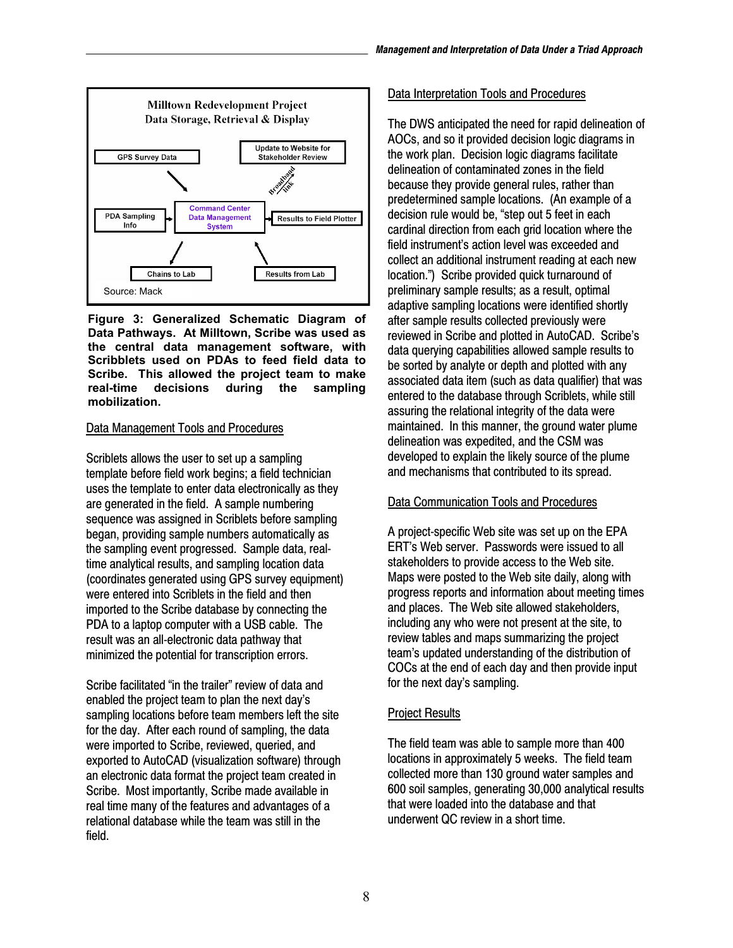

**Figure 3: Generalized Schematic Diagram of Data Pathways. At Milltown, Scribe was used as the central data management software, with Scribblets used on PDAs to feed field data to Scribe. This allowed the project team to make real-time decisions during the sampling mobilization.** 

#### Data Management Tools and Procedures

Scriblets allows the user to set up a sampling template before field work begins; a field technician uses the template to enter data electronically as they are generated in the field. A sample numbering sequence was assigned in Scriblets before sampling began, providing sample numbers automatically as the sampling event progressed. Sample data, realtime analytical results, and sampling location data (coordinates generated using GPS survey equipment) were entered into Scriblets in the field and then imported to the Scribe database by connecting the PDA to a laptop computer with a USB cable. The result was an all-electronic data pathway that minimized the potential for transcription errors.

Scribe facilitated "in the trailer" review of data and enabled the project team to plan the next day's sampling locations before team members left the site for the day. After each round of sampling, the data were imported to Scribe, reviewed, queried, and exported to AutoCAD (visualization software) through an electronic data format the project team created in Scribe. Most importantly, Scribe made available in real time many of the features and advantages of a relational database while the team was still in the field.

### Data Interpretation Tools and Procedures

The DWS anticipated the need for rapid delineation of AOCs, and so it provided decision logic diagrams in the work plan. Decision logic diagrams facilitate delineation of contaminated zones in the field because they provide general rules, rather than predetermined sample locations. (An example of a decision rule would be, "step out 5 feet in each cardinal direction from each grid location where the field instrument's action level was exceeded and collect an additional instrument reading at each new location.") Scribe provided quick turnaround of preliminary sample results; as a result, optimal adaptive sampling locations were identified shortly after sample results collected previously were reviewed in Scribe and plotted in AutoCAD. Scribe's data querying capabilities allowed sample results to be sorted by analyte or depth and plotted with any associated data item (such as data qualifier) that was entered to the database through Scriblets, while still assuring the relational integrity of the data were maintained. In this manner, the ground water plume delineation was expedited, and the CSM was developed to explain the likely source of the plume and mechanisms that contributed to its spread.

#### Data Communication Tools and Procedures

A project-specific Web site was set up on the EPA ERT's Web server. Passwords were issued to all stakeholders to provide access to the Web site. Maps were posted to the Web site daily, along with progress reports and information about meeting times and places. The Web site allowed stakeholders, including any who were not present at the site, to review tables and maps summarizing the project team's updated understanding of the distribution of COCs at the end of each day and then provide input for the next day's sampling.

#### Project Results

The field team was able to sample more than 400 locations in approximately 5 weeks. The field team collected more than 130 ground water samples and 600 soil samples, generating 30,000 analytical results that were loaded into the database and that underwent QC review in a short time.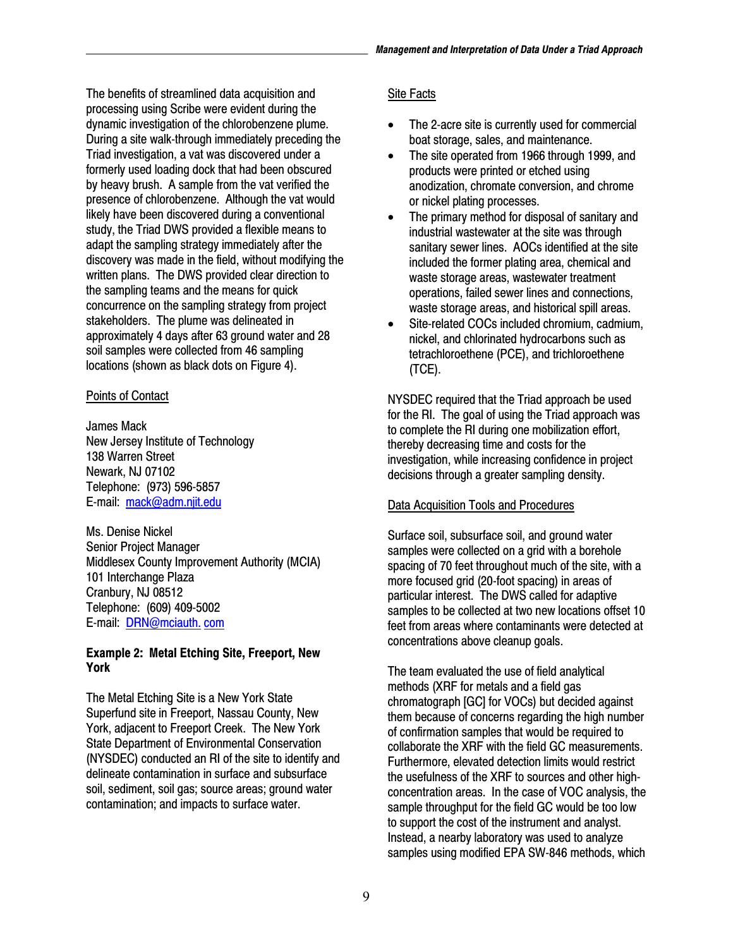The benefits of streamlined data acquisition and processing using Scribe were evident during the dynamic investigation of the chlorobenzene plume. During a site walk-through immediately preceding the Triad investigation, a vat was discovered under a formerly used loading dock that had been obscured by heavy brush. A sample from the vat verified the presence of chlorobenzene. Although the vat would likely have been discovered during a conventional study, the Triad DWS provided a flexible means to adapt the sampling strategy immediately after the discovery was made in the field, without modifying the written plans. The DWS provided clear direction to the sampling teams and the means for quick concurrence on the sampling strategy from project stakeholders. The plume was delineated in approximately 4 days after 63 ground water and 28 soil samples were collected from 46 sampling locations (shown as black dots on Figure 4).

#### Points of Contact

James Mack New Jersey Institute of Technology 138 Warren Street Newark, NJ 07102 Telephone: (973) 596-5857 E-mail: [mack@adm.njit.edu](mailto:mack@adm.njit.edu) 

Ms. Denise Nickel Senior Project Manager Middlesex County Improvement Authority (MCIA) 101 Interchange Plaza Cranbury, NJ 08512 Telephone: (609) 409-5002 E-mail: DRN@mciauth. com

### **Example 2: Metal Etching Site, Freeport, New York**

The Metal Etching Site is a New York State Superfund site in Freeport, Nassau County, New York, adjacent to Freeport Creek. The New York State Department of Environmental Conservation (NYSDEC) conducted an RI of the site to identify and delineate contamination in surface and subsurface soil, sediment, soil gas; source areas; ground water contamination; and impacts to surface water.

## Site Facts

- The 2-acre site is currently used for commercial boat storage, sales, and maintenance.
- The site operated from 1966 through 1999, and products were printed or etched using anodization, chromate conversion, and chrome or nickel plating processes.
- The primary method for disposal of sanitary and industrial wastewater at the site was through sanitary sewer lines. AOCs identified at the site included the former plating area, chemical and waste storage areas, wastewater treatment operations, failed sewer lines and connections, waste storage areas, and historical spill areas.
- Site-related COCs included chromium, cadmium, nickel, and chlorinated hydrocarbons such as tetrachloroethene (PCE), and trichloroethene (TCE).

NYSDEC required that the Triad approach be used for the RI. The goal of using the Triad approach was to complete the RI during one mobilization effort, thereby decreasing time and costs for the investigation, while increasing confidence in project decisions through a greater sampling density.

## Data Acquisition Tools and Procedures

Surface soil, subsurface soil, and ground water samples were collected on a grid with a borehole spacing of 70 feet throughout much of the site, with a more focused grid (20-foot spacing) in areas of particular interest. The DWS called for adaptive samples to be collected at two new locations offset 10 feet from areas where contaminants were detected at concentrations above cleanup goals.

The team evaluated the use of field analytical methods (XRF for metals and a field gas chromatograph [GC] for VOCs) but decided against them because of concerns regarding the high number of confirmation samples that would be required to collaborate the XRF with the field GC measurements. Furthermore, elevated detection limits would restrict the usefulness of the XRF to sources and other highconcentration areas. In the case of VOC analysis, the sample throughput for the field GC would be too low to support the cost of the instrument and analyst. Instead, a nearby laboratory was used to analyze samples using modified EPA SW-846 methods, which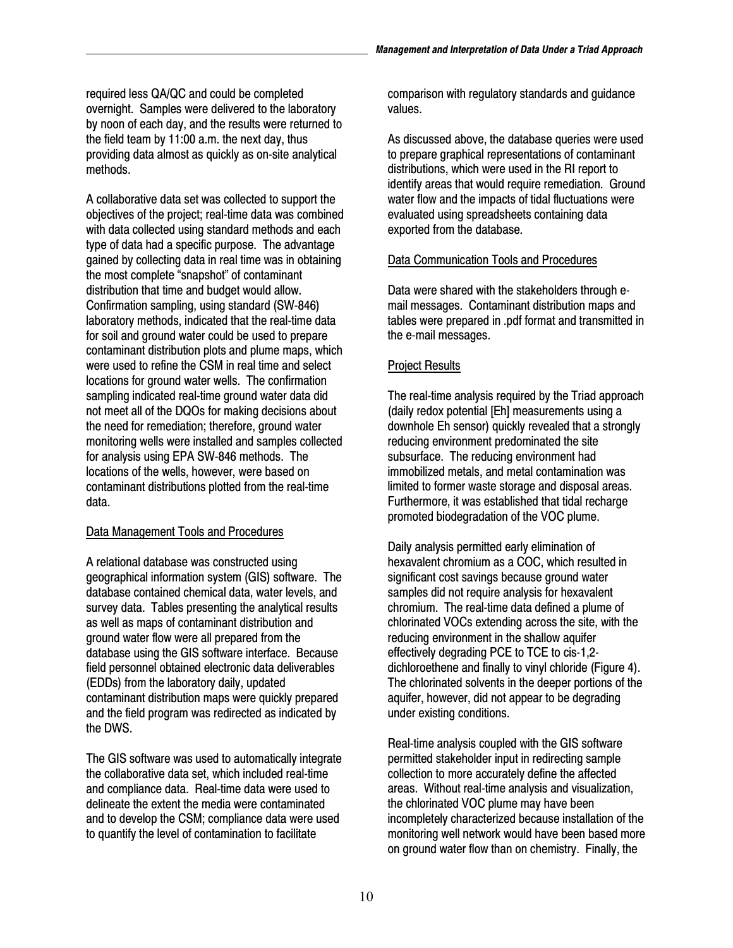required less QA/QC and could be completed overnight. Samples were delivered to the laboratory by noon of each day, and the results were returned to the field team by 11:00 a.m. the next day, thus providing data almost as quickly as on-site analytical methods.

distribution that time and budget would allow. A collaborative data set was collected to support the objectives of the project; real-time data was combined with data collected using standard methods and each type of data had a specific purpose. The advantage gained by collecting data in real time was in obtaining the most complete "snapshot" of contaminant Confirmation sampling, using standard (SW-846) laboratory methods, indicated that the real-time data for soil and ground water could be used to prepare contaminant distribution plots and plume maps, which were used to refine the CSM in real time and select locations for ground water wells. The confirmation sampling indicated real-time ground water data did not meet all of the DQOs for making decisions about the need for remediation; therefore, ground water monitoring wells were installed and samples collected for analysis using EPA SW-846 methods. The locations of the wells, however, were based on contaminant distributions plotted from the real-time data.

## Data Management Tools and Procedures

A relational database was constructed using geographical information system (GIS) software. The database contained chemical data, water levels, and survey data. Tables presenting the analytical results as well as maps of contaminant distribution and ground water flow were all prepared from the database using the GIS software interface. Because field personnel obtained electronic data deliverables (EDDs) from the laboratory daily, updated contaminant distribution maps were quickly prepared and the field program was redirected as indicated by the DWS.

The GIS software was used to automatically integrate the collaborative data set, which included real-time and compliance data. Real-time data were used to delineate the extent the media were contaminated and to develop the CSM; compliance data were used to quantify the level of contamination to facilitate

comparison with regulatory standards and guidance values.

As discussed above, the database queries were used to prepare graphical representations of contaminant distributions, which were used in the RI report to identify areas that would require remediation. Ground water flow and the impacts of tidal fluctuations were evaluated using spreadsheets containing data exported from the database.

#### Data Communication Tools and Procedures

Data were shared with the stakeholders through email messages. Contaminant distribution maps and tables were prepared in .pdf format and transmitted in the e-mail messages.

## Project Results

The real-time analysis required by the Triad approach (daily redox potential [Eh] measurements using a downhole Eh sensor) quickly revealed that a strongly reducing environment predominated the site subsurface. The reducing environment had immobilized metals, and metal contamination was limited to former waste storage and disposal areas. Furthermore, it was established that tidal recharge promoted biodegradation of the VOC plume.

Daily analysis permitted early elimination of hexavalent chromium as a COC, which resulted in significant cost savings because ground water samples did not require analysis for hexavalent chromium. The real-time data defined a plume of chlorinated VOCs extending across the site, with the reducing environment in the shallow aquifer effectively degrading PCE to TCE to cis*-*1,2 dichloroethene and finally to vinyl chloride (Figure 4). The chlorinated solvents in the deeper portions of the aquifer, however, did not appear to be degrading under existing conditions.

Real-time analysis coupled with the GIS software permitted stakeholder input in redirecting sample collection to more accurately define the affected areas. Without real-time analysis and visualization, the chlorinated VOC plume may have been incompletely characterized because installation of the monitoring well network would have been based more on ground water flow than on chemistry. Finally, the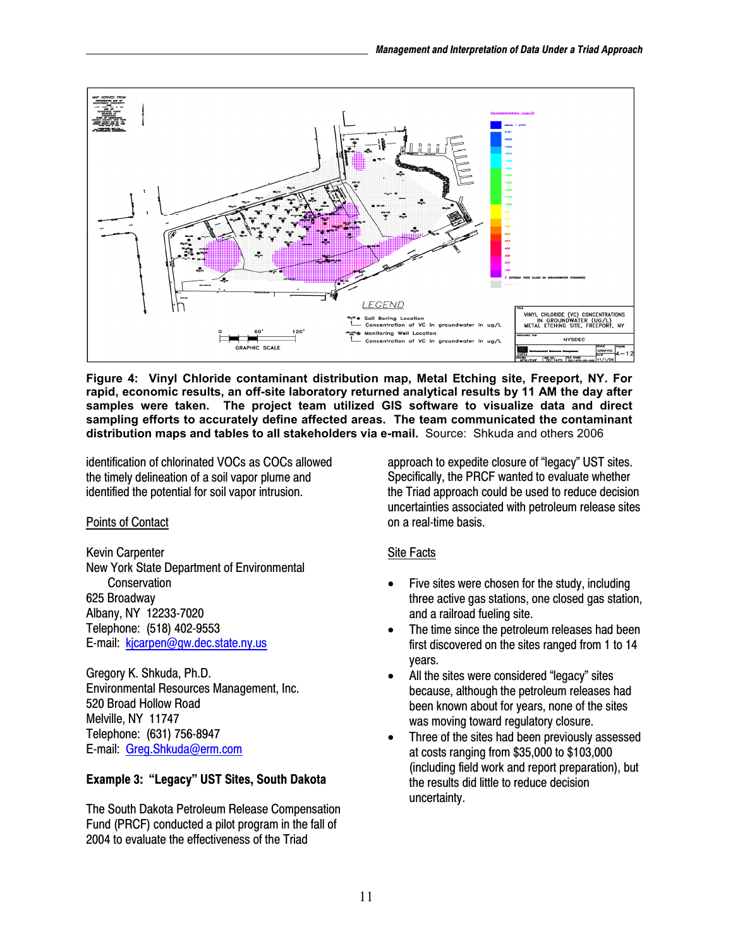

 **Figure 4: Vinyl Chloride contaminant distribution map, Metal Etching site, Freeport, NY. For distribution maps and tables to all stakeholders via e-mail.** Source: Shkuda and others 2006 **rapid, economic results, an off-site laboratory returned analytical results by 11 AM the day after samples were taken. The project team utilized GIS software to visualize data and direct sampling efforts to accurately define affected areas. The team communicated the contaminant** 

identification of chlorinated VOCs as COCs allowed the timely delineation of a soil vapor plume and identified the potential for soil vapor intrusion.

## Points of Contact

Kevin Carpenter New York State Department of Environmental **Conservation** 625 Broadway Albany, NY 12233-7020 Telephone: (518) 402-9553 E-mail: kjcarpen@gw.dec.state.ny.us

E-mail: Greg.Shkuda@erm.com Gregory K. Shkuda, Ph.D. Environmental Resources Management, Inc. 520 Broad Hollow Road Melville, NY 11747 Telephone: (631) 756-8947

## **Example 3: "Legacy" UST Sites, South Dakota**

The South Dakota Petroleum Release Compensation Fund (PRCF) conducted a pilot program in the fall of 2004 to evaluate the effectiveness of the Triad

approach to expedite closure of "legacy" UST sites. Specifically, the PRCF wanted to evaluate whether the Triad approach could be used to reduce decision uncertainties associated with petroleum release sites on a real-time basis.

## Site Facts

- Five sites were chosen for the study, including three active gas stations, one closed gas station, and a railroad fueling site.
- The time since the petroleum releases had been first discovered on the sites ranged from 1 to 14 years.
- All the sites were considered "legacy" sites because, although the petroleum releases had been known about for years, none of the sites was moving toward regulatory closure.
- Three of the sites had been previously assessed at costs ranging from \$35,000 to \$103,000 (including field work and report preparation), but the results did little to reduce decision uncertainty.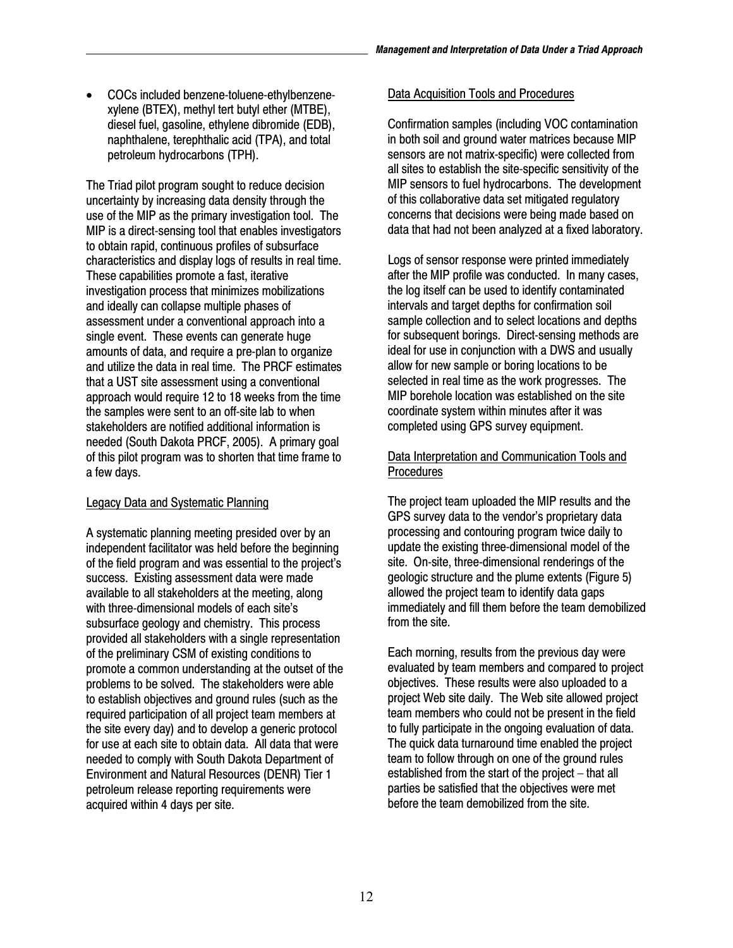COCs included benzene-toluene-ethylbenzenexylene (BTEX), methyl tert butyl ether (MTBE), diesel fuel, gasoline, ethylene dibromide (EDB), naphthalene, terephthalic acid (TPA), and total petroleum hydrocarbons (TPH).

The Triad pilot program sought to reduce decision uncertainty by increasing data density through the use of the MIP as the primary investigation tool. The MIP is a direct-sensing tool that enables investigators to obtain rapid, continuous profiles of subsurface characteristics and display logs of results in real time. These capabilities promote a fast, iterative investigation process that minimizes mobilizations and ideally can collapse multiple phases of assessment under a conventional approach into a single event. These events can generate huge amounts of data, and require a pre-plan to organize and utilize the data in real time. The PRCF estimates that a UST site assessment using a conventional approach would require 12 to 18 weeks from the time the samples were sent to an off-site lab to when stakeholders are notified additional information is needed (South Dakota PRCF, 2005). A primary goal of this pilot program was to shorten that time frame to a few days.

#### Legacy Data and Systematic Planning

A systematic planning meeting presided over by an independent facilitator was held before the beginning of the field program and was essential to the project's success. Existing assessment data were made available to all stakeholders at the meeting, along with three-dimensional models of each site's subsurface geology and chemistry. This process provided all stakeholders with a single representation of the preliminary CSM of existing conditions to promote a common understanding at the outset of the problems to be solved. The stakeholders were able to establish objectives and ground rules (such as the required participation of all project team members at the site every day) and to develop a generic protocol for use at each site to obtain data. All data that were needed to comply with South Dakota Department of Environment and Natural Resources (DENR) Tier 1 petroleum release reporting requirements were acquired within 4 days per site.

#### Data Acquisition Tools and Procedures

Confirmation samples (including VOC contamination in both soil and ground water matrices because MIP sensors are not matrix-specific) were collected from all sites to establish the site-specific sensitivity of the MIP sensors to fuel hydrocarbons. The development of this collaborative data set mitigated regulatory concerns that decisions were being made based on data that had not been analyzed at a fixed laboratory.

Logs of sensor response were printed immediately after the MIP profile was conducted. In many cases, the log itself can be used to identify contaminated intervals and target depths for confirmation soil sample collection and to select locations and depths for subsequent borings. Direct-sensing methods are ideal for use in conjunction with a DWS and usually allow for new sample or boring locations to be selected in real time as the work progresses. The MIP borehole location was established on the site coordinate system within minutes after it was completed using GPS survey equipment.

#### Data Interpretation and Communication Tools and **Procedures**

The project team uploaded the MIP results and the GPS survey data to the vendor's proprietary data processing and contouring program twice daily to update the existing three-dimensional model of the site. On-site, three-dimensional renderings of the geologic structure and the plume extents (Figure 5) allowed the project team to identify data gaps immediately and fill them before the team demobilized from the site.

Each morning, results from the previous day were evaluated by team members and compared to project objectives. These results were also uploaded to a project Web site daily. The Web site allowed project team members who could not be present in the field to fully participate in the ongoing evaluation of data. The quick data turnaround time enabled the project team to follow through on one of the ground rules established from the start of the project – that all parties be satisfied that the objectives were met before the team demobilized from the site.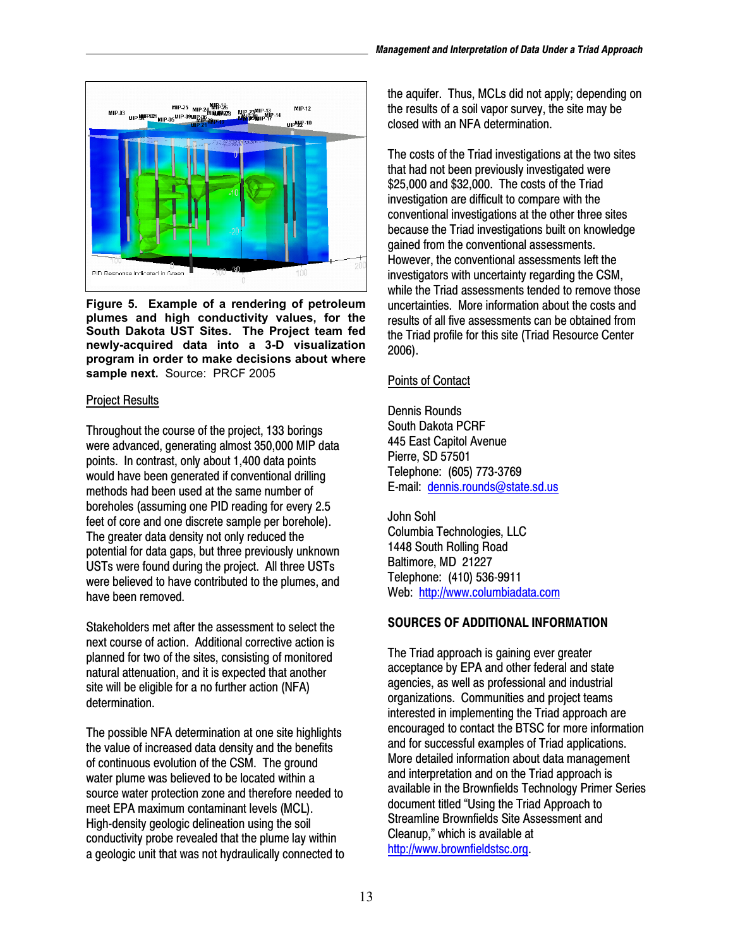

 **Figure 5. Example of a rendering of petroleum sample next.** Source: PRCF 2005 **plumes and high conductivity values, for the South Dakota UST Sites. The Project team fed newly-acquired data into a 3-D visualization program in order to make decisions about where** 

### Project Results

Throughout the course of the project, 133 borings were advanced, generating almost 350,000 MIP data points. In contrast, only about 1,400 data points would have been generated if conventional drilling methods had been used at the same number of boreholes (assuming one PID reading for every 2.5 feet of core and one discrete sample per borehole). The greater data density not only reduced the potential for data gaps, but three previously unknown USTs were found during the project. All three USTs were believed to have contributed to the plumes, and have been removed.

Stakeholders met after the assessment to select the next course of action. Additional corrective action is planned for two of the sites, consisting of monitored natural attenuation, and it is expected that another site will be eligible for a no further action (NFA) determination.

The possible NFA determination at one site highlights the value of increased data density and the benefits of continuous evolution of the CSM. The ground water plume was believed to be located within a source water protection zone and therefore needed to meet EPA maximum contaminant levels (MCL). High-density geologic delineation using the soil conductivity probe revealed that the plume lay within a geologic unit that was not hydraulically connected to

the aquifer. Thus, MCLs did not apply; depending on the results of a soil vapor survey, the site may be closed with an NFA determination.

The costs of the Triad investigations at the two sites that had not been previously investigated were \$25,000 and \$32,000. The costs of the Triad investigation are difficult to compare with the conventional investigations at the other three sites because the Triad investigations built on knowledge gained from the conventional assessments. However, the conventional assessments left the investigators with uncertainty regarding the CSM, while the Triad assessments tended to remove those uncertainties. More information about the costs and results of all five assessments can be obtained from the Triad profile for this site (Triad Resource Center 2006).

# Points of Contact

Dennis Rounds South Dakota PCRF 445 East Capitol Avenue Pierre, SD 57501 Telephone: (605) 773-3769 E-mail: [dennis.rounds@state.sd.us](mailto:dennis.rounds@state.sd.us) 

John Sohl Columbia Technologies, LLC 1448 South Rolling Road Baltimore, MD 21227 Telephone: (410) 536-9911 Web: <http://www.columbiadata.com>

# **SOURCES OF ADDITIONAL INFORMATION**

The Triad approach is gaining ever greater acceptance by EPA and other federal and state agencies, as well as professional and industrial organizations. Communities and project teams interested in implementing the Triad approach are encouraged to contact the BTSC for more information and for successful examples of Triad applications. More detailed information about data management and interpretation and on the Triad approach is available in the Brownfields Technology Primer Series document titled "Using the Triad Approach to Streamline Brownfields Site Assessment and Cleanup," which is available at [http://www.brownfieldstsc.org.](http://www.brownfieldstsc.org)